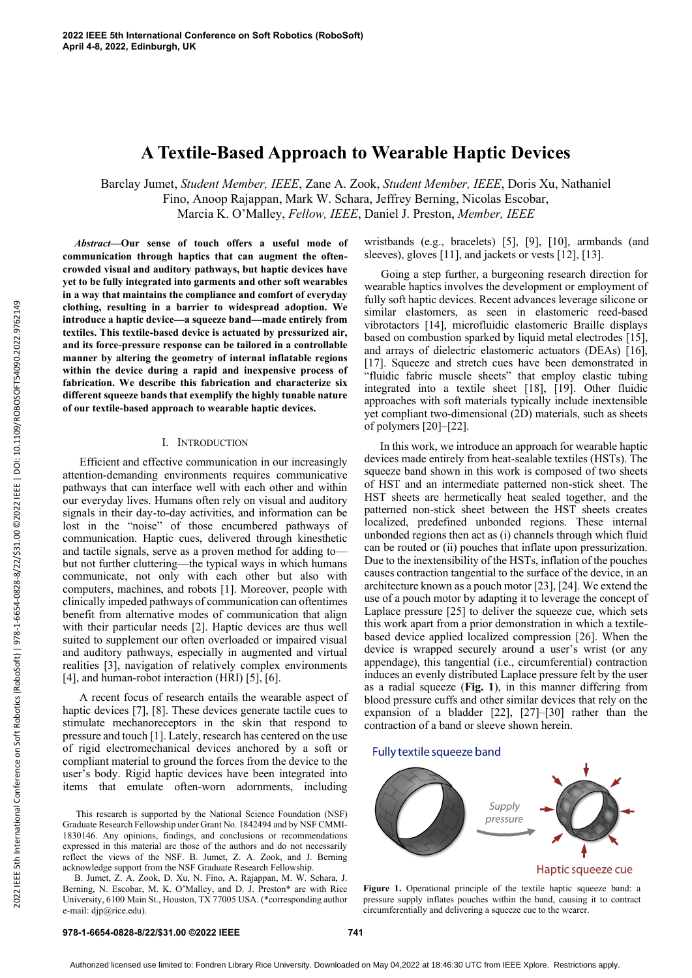# **A Textile-Based Approach to Wearable Haptic Devices**

Barclay Jumet, *Student Member, IEEE*, Zane A. Zook, *Student Member, IEEE*, Doris Xu, Nathaniel Fino, Anoop Rajappan, Mark W. Schara, Jeffrey Berning, Nicolas Escobar, Marcia K. O'Malley, *Fellow, IEEE*, Daniel J. Preston, *Member, IEEE*

*Abstract***—Our sense of touch offers a useful mode of communication through haptics that can augment the oftencrowded visual and auditory pathways, but haptic devices have yet to be fully integrated into garments and other soft wearables in a way that maintains the compliance and comfort of everyday clothing, resulting in a barrier to widespread adoption. We introduce a haptic device—a squeeze band—made entirely from textiles. This textile-based device is actuated by pressurized air, and its force-pressure response can be tailored in a controllable manner by altering the geometry of internal inflatable regions within the device during a rapid and inexpensive process of fabrication. We describe this fabrication and characterize six different squeeze bands that exemplify the highly tunable nature of our textile-based approach to wearable haptic devices.**

## I. INTRODUCTION

Efficient and effective communication in our increasingly attention-demanding environments requires communicative pathways that can interface well with each other and within our everyday lives. Humans often rely on visual and auditory signals in their day-to-day activities, and information can be lost in the "noise" of those encumbered pathways of communication. Haptic cues, delivered through kinesthetic and tactile signals, serve as a proven method for adding to but not further cluttering—the typical ways in which humans communicate, not only with each other but also with computers, machines, and robots [1]. Moreover, people with clinically impeded pathways of communication can oftentimes benefit from alternative modes of communication that align with their particular needs [2]. Haptic devices are thus well suited to supplement our often overloaded or impaired visual and auditory pathways, especially in augmented and virtual realities [3], navigation of relatively complex environments [4], and human-robot interaction (HRI) [5], [6].

A recent focus of research entails the wearable aspect of haptic devices [7], [8]. These devices generate tactile cues to stimulate mechanoreceptors in the skin that respond to pressure and touch [1]. Lately, research has centered on the use of rigid electromechanical devices anchored by a soft or compliant material to ground the forces from the device to the user's body. Rigid haptic devices have been integrated into items that emulate often-worn adornments, including

This research is supported by the National Science Foundation (NSF) Graduate Research Fellowship under Grant No. 1842494 and by NSF CMMI-1830146. Any opinions, findings, and conclusions or recommendations expressed in this material are those of the authors and do not necessarily reflect the views of the NSF. B. Jumet, Z. A. Zook, and J. Berning acknowledge support from the NSF Graduate Research Fellowship.

B. Jumet, Z. A. Zook, D. Xu, N. Fino, A. Rajappan, M. W. Schara, J. Berning, N. Escobar, M. K. O'Malley, and D. J. Preston\* are with Rice University, 6100 Main St., Houston, TX 77005 USA. (\*corresponding author e-mail: djp@rice.edu).

wristbands (e.g., bracelets) [5], [9], [10], armbands (and sleeves), gloves [11], and jackets or vests [12], [13].

Going a step further, a burgeoning research direction for wearable haptics involves the development or employment of fully soft haptic devices. Recent advances leverage silicone or similar elastomers, as seen in elastomeric reed-based vibrotactors [14], microfluidic elastomeric Braille displays based on combustion sparked by liquid metal electrodes [15], and arrays of dielectric elastomeric actuators (DEAs) [16], [17]. Squeeze and stretch cues have been demonstrated in "fluidic fabric muscle sheets" that employ elastic tubing integrated into a textile sheet [18], [19]. Other fluidic approaches with soft materials typically include inextensible yet compliant two-dimensional (2D) materials, such as sheets of polymers [20]–[22].

In this work, we introduce an approach for wearable haptic devices made entirely from heat-sealable textiles (HSTs). The squeeze band shown in this work is composed of two sheets of HST and an intermediate patterned non-stick sheet. The HST sheets are hermetically heat sealed together, and the patterned non-stick sheet between the HST sheets creates localized, predefined unbonded regions. These internal unbonded regions then act as (i) channels through which fluid can be routed or (ii) pouches that inflate upon pressurization. Due to the inextensibility of the HSTs, inflation of the pouches causes contraction tangential to the surface of the device, in an architecture known as a pouch motor [23], [24]. We extend the use of a pouch motor by adapting it to leverage the concept of Laplace pressure [25] to deliver the squeeze cue, which sets this work apart from a prior demonstration in which a textilebased device applied localized compression [26]. When the device is wrapped securely around a user's wrist (or any appendage), this tangential (i.e., circumferential) contraction induces an evenly distributed Laplace pressure felt by the user as a radial squeeze (**Fig. 1**), in this manner differing from blood pressure cuffs and other similar devices that rely on the expansion of a bladder [22], [27]–[30] rather than the contraction of a band or sleeve shown herein.

#### Fully textile squeeze band



Figure 1. Operational principle of the textile haptic squeeze band: a pressure supply inflates pouches within the band, causing it to contract circumferentially and delivering a squeeze cue to the wearer.

# **978-1-6654-0828-8/22/\$31.00 ©2022 IEEE 741**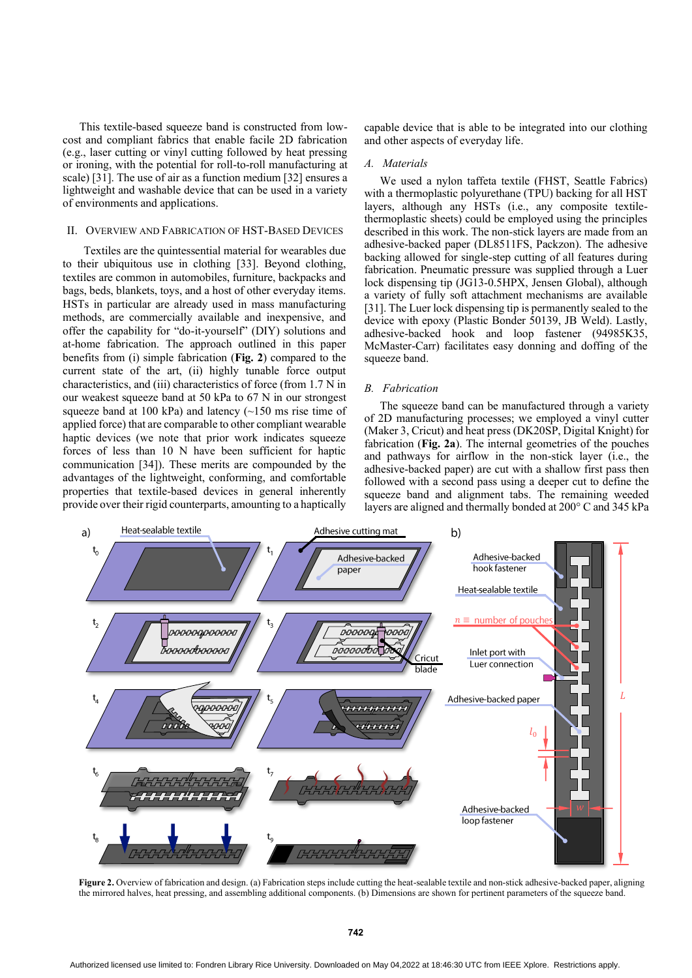This textile-based squeeze band is constructed from lowcost and compliant fabrics that enable facile 2D fabrication (e.g., laser cutting or vinyl cutting followed by heat pressing or ironing, with the potential for roll-to-roll manufacturing at scale) [31]. The use of air as a function medium [32] ensures a lightweight and washable device that can be used in a variety of environments and applications.

### II. OVERVIEW AND FABRICATION OF HST-BASED DEVICES

Textiles are the quintessential material for wearables due to their ubiquitous use in clothing [33]. Beyond clothing, textiles are common in automobiles, furniture, backpacks and bags, beds, blankets, toys, and a host of other everyday items. HSTs in particular are already used in mass manufacturing methods, are commercially available and inexpensive, and offer the capability for "do-it-yourself" (DIY) solutions and at-home fabrication. The approach outlined in this paper benefits from (i) simple fabrication (**Fig. 2**) compared to the current state of the art, (ii) highly tunable force output characteristics, and (iii) characteristics of force (from 1.7 N in our weakest squeeze band at 50 kPa to 67 N in our strongest squeeze band at 100 kPa) and latency  $(\sim 150 \text{ ms} \text{ rise time of})$ applied force) that are comparable to other compliant wearable haptic devices (we note that prior work indicates squeeze forces of less than 10 N have been sufficient for haptic communication [34]). These merits are compounded by the advantages of the lightweight, conforming, and comfortable properties that textile-based devices in general inherently provide over their rigid counterparts, amounting to a haptically

capable device that is able to be integrated into our clothing and other aspects of everyday life.

#### *A. Materials*

We used a nylon taffeta textile (FHST, Seattle Fabrics) with a thermoplastic polyurethane (TPU) backing for all HST layers, although any HSTs (i.e., any composite textilethermoplastic sheets) could be employed using the principles described in this work. The non-stick layers are made from an adhesive-backed paper (DL8511FS, Packzon). The adhesive backing allowed for single-step cutting of all features during fabrication. Pneumatic pressure was supplied through a Luer lock dispensing tip (JG13-0.5HPX, Jensen Global), although a variety of fully soft attachment mechanisms are available [31]. The Luer lock dispensing tip is permanently sealed to the device with epoxy (Plastic Bonder 50139, JB Weld). Lastly, adhesive-backed hook and loop fastener (94985K35, McMaster-Carr) facilitates easy donning and doffing of the squeeze band.

#### *B. Fabrication*

The squeeze band can be manufactured through a variety of 2D manufacturing processes; we employed a vinyl cutter (Maker 3, Cricut) and heat press (DK20SP, Digital Knight) for fabrication (**Fig. 2a**). The internal geometries of the pouches and pathways for airflow in the non-stick layer (i.e., the adhesive-backed paper) are cut with a shallow first pass then followed with a second pass using a deeper cut to define the squeeze band and alignment tabs. The remaining weeded layers are aligned and thermally bonded at 200° C and 345 kPa



Figure 2. Overview of fabrication and design. (a) Fabrication steps include cutting the heat-sealable textile and non-stick adhesive-backed paper, aligning the mirrored halves, heat pressing, and assembling additional components. (b) Dimensions are shown for pertinent parameters of the squeeze band.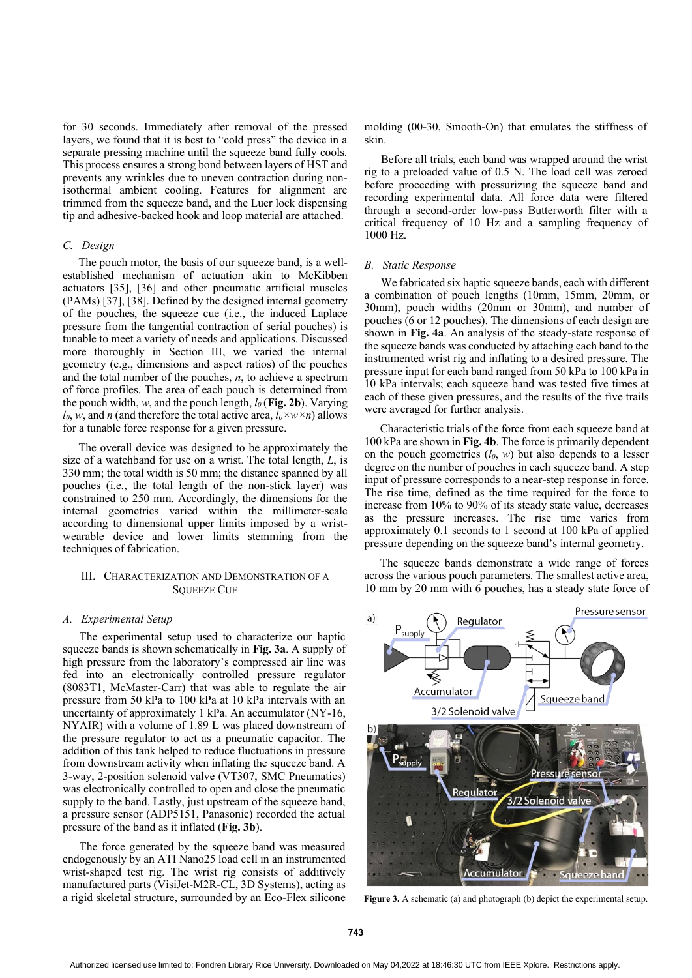for 30 seconds. Immediately after removal of the pressed layers, we found that it is best to "cold press" the device in a separate pressing machine until the squeeze band fully cools. This process ensures a strong bond between layers of HST and prevents any wrinkles due to uneven contraction during nonisothermal ambient cooling. Features for alignment are trimmed from the squeeze band, and the Luer lock dispensing tip and adhesive-backed hook and loop material are attached.

## *C. Design*

The pouch motor, the basis of our squeeze band, is a wellestablished mechanism of actuation akin to McKibben actuators [35], [36] and other pneumatic artificial muscles (PAMs) [37], [38]. Defined by the designed internal geometry of the pouches, the squeeze cue (i.e., the induced Laplace pressure from the tangential contraction of serial pouches) is tunable to meet a variety of needs and applications. Discussed more thoroughly in Section III, we varied the internal geometry (e.g., dimensions and aspect ratios) of the pouches and the total number of the pouches, *n*, to achieve a spectrum of force profiles. The area of each pouch is determined from the pouch width, *w*, and the pouch length,  $l_0$  (Fig. 2b). Varying *l*<sup>0</sup>, *w*, and *n* (and therefore the total active area,  $l_0 \times w \times n$ ) allows for a tunable force response for a given pressure.

The overall device was designed to be approximately the size of a watchband for use on a wrist. The total length, *L*, is 330 mm; the total width is 50 mm; the distance spanned by all pouches (i.e., the total length of the non-stick layer) was constrained to 250 mm. Accordingly, the dimensions for the internal geometries varied within the millimeter-scale according to dimensional upper limits imposed by a wristwearable device and lower limits stemming from the techniques of fabrication.

# III. CHARACTERIZATION AND DEMONSTRATION OF A SQUEEZE CUE

#### *A. Experimental Setup*

The experimental setup used to characterize our haptic squeeze bands is shown schematically in **Fig. 3a**. A supply of high pressure from the laboratory's compressed air line was fed into an electronically controlled pressure regulator (8083T1, McMaster-Carr) that was able to regulate the air pressure from 50 kPa to 100 kPa at 10 kPa intervals with an uncertainty of approximately 1 kPa. An accumulator (NY-16, NYAIR) with a volume of 1.89 L was placed downstream of the pressure regulator to act as a pneumatic capacitor. The addition of this tank helped to reduce fluctuations in pressure from downstream activity when inflating the squeeze band. A 3-way, 2-position solenoid valve (VT307, SMC Pneumatics) was electronically controlled to open and close the pneumatic supply to the band. Lastly, just upstream of the squeeze band, a pressure sensor (ADP5151, Panasonic) recorded the actual pressure of the band as it inflated (**Fig. 3b**).

The force generated by the squeeze band was measured endogenously by an ATI Nano25 load cell in an instrumented wrist-shaped test rig. The wrist rig consists of additively manufactured parts (VisiJet-M2R-CL, 3D Systems), acting as a rigid skeletal structure, surrounded by an Eco-Flex silicone molding (00-30, Smooth-On) that emulates the stiffness of skin.

Before all trials, each band was wrapped around the wrist rig to a preloaded value of 0.5 N. The load cell was zeroed before proceeding with pressurizing the squeeze band and recording experimental data. All force data were filtered through a second-order low-pass Butterworth filter with a critical frequency of 10 Hz and a sampling frequency of 1000 Hz.

#### *B. Static Response*

We fabricated six haptic squeeze bands, each with different a combination of pouch lengths (10mm, 15mm, 20mm, or 30mm), pouch widths (20mm or 30mm), and number of pouches (6 or 12 pouches). The dimensions of each design are shown in **Fig. 4a**. An analysis of the steady-state response of the squeeze bands was conducted by attaching each band to the instrumented wrist rig and inflating to a desired pressure. The pressure input for each band ranged from 50 kPa to 100 kPa in 10 kPa intervals; each squeeze band was tested five times at each of these given pressures, and the results of the five trails were averaged for further analysis.

Characteristic trials of the force from each squeeze band at 100 kPa are shown in **Fig. 4b**. The force is primarily dependent on the pouch geometries  $(l_0, w)$  but also depends to a lesser degree on the number of pouches in each squeeze band. A step input of pressure corresponds to a near-step response in force. The rise time, defined as the time required for the force to increase from 10% to 90% of its steady state value, decreases as the pressure increases. The rise time varies from approximately 0.1 seconds to 1 second at 100 kPa of applied pressure depending on the squeeze band's internal geometry.

The squeeze bands demonstrate a wide range of forces across the various pouch parameters. The smallest active area, 10 mm by 20 mm with 6 pouches, has a steady state force of



**Figure 3.** A schematic (a) and photograph (b) depict the experimental setup.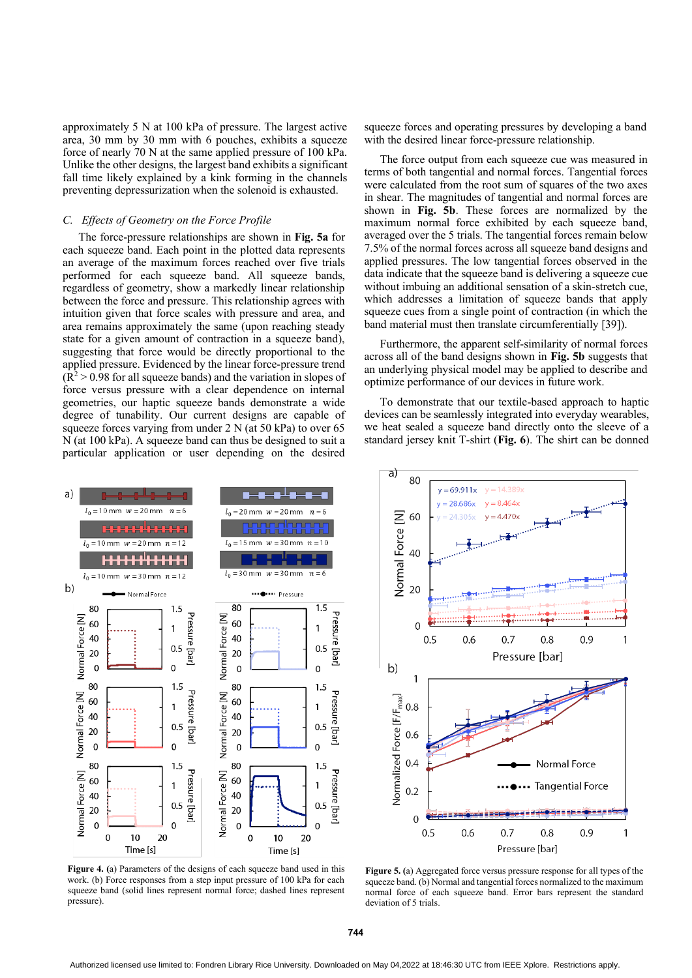approximately 5 N at 100 kPa of pressure. The largest active area, 30 mm by 30 mm with 6 pouches, exhibits a squeeze force of nearly 70 N at the same applied pressure of 100 kPa. Unlike the other designs, the largest band exhibits a significant fall time likely explained by a kink forming in the channels preventing depressurization when the solenoid is exhausted.

# *C. Effects of Geometry on the Force Profile*

The force-pressure relationships are shown in **Fig. 5a** for each squeeze band. Each point in the plotted data represents an average of the maximum forces reached over five trials performed for each squeeze band. All squeeze bands, regardless of geometry, show a markedly linear relationship between the force and pressure. This relationship agrees with intuition given that force scales with pressure and area, and area remains approximately the same (upon reaching steady state for a given amount of contraction in a squeeze band), suggesting that force would be directly proportional to the applied pressure. Evidenced by the linear force-pressure trend  $(R<sup>2</sup> > 0.98$  for all squeeze bands) and the variation in slopes of force versus pressure with a clear dependence on internal geometries, our haptic squeeze bands demonstrate a wide degree of tunability. Our current designs are capable of squeeze forces varying from under 2 N (at 50 kPa) to over 65 N (at 100 kPa). A squeeze band can thus be designed to suit a particular application or user depending on the desired squeeze forces and operating pressures by developing a band with the desired linear force-pressure relationship.

The force output from each squeeze cue was measured in terms of both tangential and normal forces. Tangential forces were calculated from the root sum of squares of the two axes in shear. The magnitudes of tangential and normal forces are shown in **Fig. 5b**. These forces are normalized by the maximum normal force exhibited by each squeeze band, averaged over the 5 trials. The tangential forces remain below 7.5% of the normal forces across all squeeze band designs and applied pressures. The low tangential forces observed in the data indicate that the squeeze band is delivering a squeeze cue without imbuing an additional sensation of a skin-stretch cue, which addresses a limitation of squeeze bands that apply squeeze cues from a single point of contraction (in which the band material must then translate circumferentially [39]).

Furthermore, the apparent self-similarity of normal forces across all of the band designs shown in **Fig. 5b** suggests that an underlying physical model may be applied to describe and optimize performance of our devices in future work.

To demonstrate that our textile-based approach to haptic devices can be seamlessly integrated into everyday wearables, we heat sealed a squeeze band directly onto the sleeve of a standard jersey knit T-shirt (**Fig. 6**). The shirt can be donned

 $y = 8.464x$ 

 $v = 69.911x$ 

 $y = 28.686x$ 

a) 80



**Normal Force [N]** 60  $4.305x$ 40 20  $\overline{0}$  $0.5$ 0.6  $0.7$  $0.8$ 0.9  $\overline{1}$ Pressure [bar]  $b)$  $\mathbf{1}$ Normalized Force [F/F<sub>max</sub>] 0.8 0.6  $0.4$ Normal Force **Tangential Force**  $0.2$  $\mathbf 0$  $0.5$  $0.6$  $0.7$  $0.8$  $0.9$  $\mathbf{1}$ Pressure [bar]

**Figure 4. (**a) Parameters of the designs of each squeeze band used in this work. (b) Force responses from a step input pressure of 100 kPa for each squeeze band (solid lines represent normal force; dashed lines represent pressure).

**Figure 5. (**a) Aggregated force versus pressure response for all types of the squeeze band. (b) Normal and tangential forces normalized to the maximum normal force of each squeeze band. Error bars represent the standard deviation of 5 trials.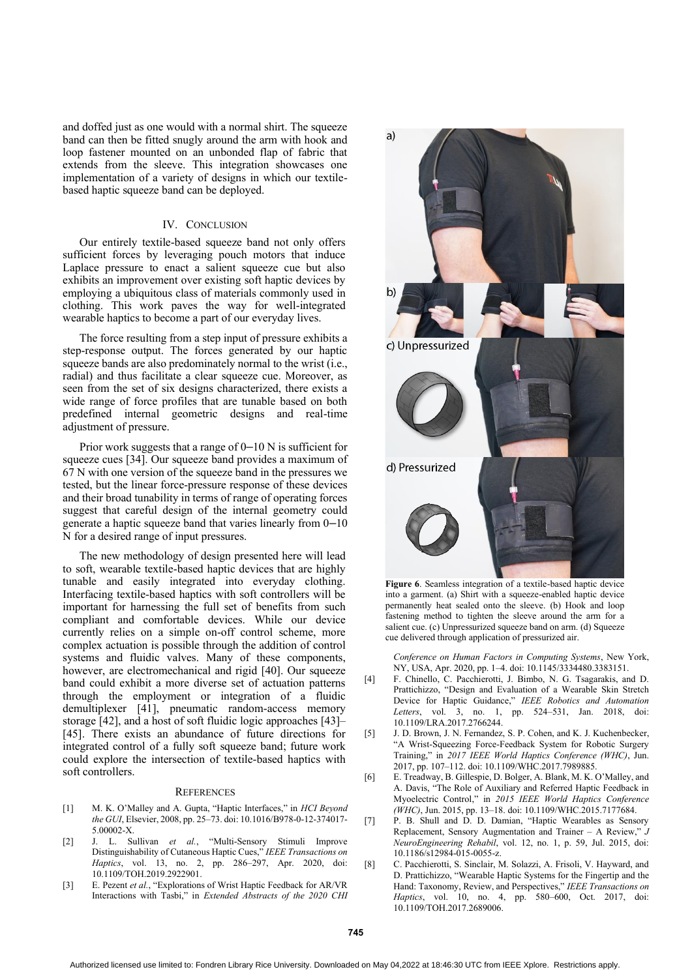and doffed just as one would with a normal shirt. The squeeze band can then be fitted snugly around the arm with hook and loop fastener mounted on an unbonded flap of fabric that extends from the sleeve. This integration showcases one implementation of a variety of designs in which our textilebased haptic squeeze band can be deployed.

#### IV. CONCLUSION

Our entirely textile-based squeeze band not only offers sufficient forces by leveraging pouch motors that induce Laplace pressure to enact a salient squeeze cue but also exhibits an improvement over existing soft haptic devices by employing a ubiquitous class of materials commonly used in clothing. This work paves the way for well-integrated wearable haptics to become a part of our everyday lives.

The force resulting from a step input of pressure exhibits a step-response output. The forces generated by our haptic squeeze bands are also predominately normal to the wrist (i.e., radial) and thus facilitate a clear squeeze cue. Moreover, as seen from the set of six designs characterized, there exists a wide range of force profiles that are tunable based on both predefined internal geometric designs and real-time adjustment of pressure.

Prior work suggests that a range of 0–10 N is sufficient for squeeze cues [34]. Our squeeze band provides a maximum of 67 N with one version of the squeeze band in the pressures we tested, but the linear force-pressure response of these devices and their broad tunability in terms of range of operating forces suggest that careful design of the internal geometry could generate a haptic squeeze band that varies linearly from 0–10 N for a desired range of input pressures.

The new methodology of design presented here will lead to soft, wearable textile-based haptic devices that are highly tunable and easily integrated into everyday clothing. Interfacing textile-based haptics with soft controllers will be important for harnessing the full set of benefits from such compliant and comfortable devices. While our device currently relies on a simple on-off control scheme, more complex actuation is possible through the addition of control systems and fluidic valves. Many of these components, however, are electromechanical and rigid [40]. Our squeeze band could exhibit a more diverse set of actuation patterns through the employment or integration of a fluidic demultiplexer [41], pneumatic random-access memory storage [42], and a host of soft fluidic logic approaches [43]– [45]. There exists an abundance of future directions for integrated control of a fully soft squeeze band; future work could explore the intersection of textile-based haptics with soft controllers.

#### **REFERENCES**

- [1] M. K. O'Malley and A. Gupta, "Haptic Interfaces," in *HCI Beyond the GUI*, Elsevier, 2008, pp. 25–73. doi: 10.1016/B978-0-12-374017- 5.00002-X.
- [2] J. L. Sullivan *et al.*, "Multi-Sensory Stimuli Improve Distinguishability of Cutaneous Haptic Cues," *IEEE Transactions on Haptics*, vol. 13, no. 2, pp. 286–297, Apr. 2020, doi: 10.1109/TOH.2019.2922901.
- [3] E. Pezent *et al.*, "Explorations of Wrist Haptic Feedback for AR/VR Interactions with Tasbi," in *Extended Abstracts of the 2020 CHI*



**Figure 6**. Seamless integration of a textile-based haptic device into a garment. (a) Shirt with a squeeze-enabled haptic device permanently heat sealed onto the sleeve. (b) Hook and loop fastening method to tighten the sleeve around the arm for a salient cue. (c) Unpressurized squeeze band on arm. (d) Squeeze cue delivered through application of pressurized air.

*Conference on Human Factors in Computing Systems*, New York, NY, USA, Apr. 2020, pp. 1–4. doi: 10.1145/3334480.3383151.

- [4] F. Chinello, C. Pacchierotti, J. Bimbo, N. G. Tsagarakis, and D. Prattichizzo, "Design and Evaluation of a Wearable Skin Stretch Device for Haptic Guidance," *IEEE Robotics and Automation Letters*, vol. 3, no. 1, pp. 524–531, Jan. 2018, doi: 10.1109/LRA.2017.2766244.
- [5] J. D. Brown, J. N. Fernandez, S. P. Cohen, and K. J. Kuchenbecker, "A Wrist-Squeezing Force-Feedback System for Robotic Surgery Training," in *2017 IEEE World Haptics Conference (WHC)*, Jun. 2017, pp. 107–112. doi: 10.1109/WHC.2017.7989885.
- [6] E. Treadway, B. Gillespie, D. Bolger, A. Blank, M. K. O'Malley, and A. Davis, "The Role of Auxiliary and Referred Haptic Feedback in Myoelectric Control," in *2015 IEEE World Haptics Conference (WHC)*, Jun. 2015, pp. 13–18. doi: 10.1109/WHC.2015.7177684.
- [7] P. B. Shull and D. D. Damian, "Haptic Wearables as Sensory Replacement, Sensory Augmentation and Trainer – A Review," *J NeuroEngineering Rehabil*, vol. 12, no. 1, p. 59, Jul. 2015, doi: 10.1186/s12984-015-0055-z.
- [8] C. Pacchierotti, S. Sinclair, M. Solazzi, A. Frisoli, V. Hayward, and D. Prattichizzo, "Wearable Haptic Systems for the Fingertip and the Hand: Taxonomy, Review, and Perspectives," *IEEE Transactions on Haptics*, vol. 10, no. 4, pp. 580–600, Oct. 2017, doi: 10.1109/TOH.2017.2689006.